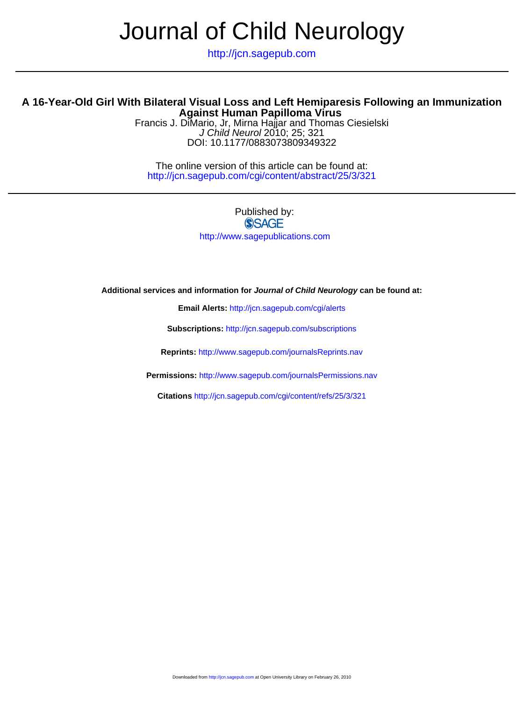# Journal of Child Neurology

http://jcn.sagepub.com

## **Against Human Papilloma Virus A 16-Year-Old Girl With Bilateral Visual Loss and Left Hemiparesis Following an Immunization**

DOI: 10.1177/0883073809349322 J Child Neurol 2010; 25; 321 Francis J. DiMario, Jr, Mirna Hajjar and Thomas Ciesielski

http://jcn.sagepub.com/cgi/content/abstract/25/3/321 The online version of this article can be found at:

# Published by: **SSAGE** http://www.sagepublications.com

**Additional services and information for Journal of Child Neurology can be found at:**

**Email Alerts:** <http://jcn.sagepub.com/cgi/alerts>

**Subscriptions:** <http://jcn.sagepub.com/subscriptions>

**Reprints:** <http://www.sagepub.com/journalsReprints.nav>

**Permissions:** <http://www.sagepub.com/journalsPermissions.nav>

**Citations** <http://jcn.sagepub.com/cgi/content/refs/25/3/321>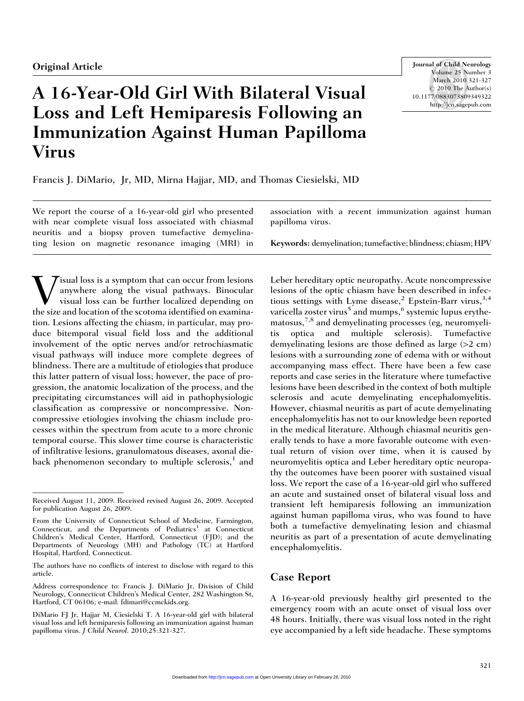# A 16-Year-Old Girl With Bilateral Visual Loss and Left Hemiparesis Following an Immunization Against Human Papilloma Virus

Journal of Child Neurology Volume 25 Number 3 March 2010 321-327  $\odot$  2010 The Author(s) 10.1177/0883073809349322 http://jcn.sagepub.com

Francis J. DiMario, Jr, MD, Mirna Hajjar, MD, and Thomas Ciesielski, MD

We report the course of a 16-year-old girl who presented with near complete visual loss associated with chiasmal neuritis and a biopsy proven tumefactive demyelinating lesion on magnetic resonance imaging (MRI) in

**V** isual loss is a symptom that can occur from lesions<br>anywhere along the visual pathways. Binocular<br>the size and location of the scotoma identified on examinaanywhere along the visual pathways. Binocular visual loss can be further localized depending on the size and location of the scotoma identified on examination. Lesions affecting the chiasm, in particular, may produce bitemporal visual field loss and the additional involvement of the optic nerves and/or retrochiasmatic visual pathways will induce more complete degrees of blindness. There are a multitude of etiologies that produce this latter pattern of visual loss; however, the pace of progression, the anatomic localization of the process, and the precipitating circumstances will aid in pathophysiologic classification as compressive or noncompressive. Noncompressive etiologies involving the chiasm include processes within the spectrum from acute to a more chronic temporal course. This slower time course is characteristic of infiltrative lesions, granulomatous diseases, axonal dieback phenomenon secondary to multiple sclerosis, $<sup>1</sup>$  and</sup>

association with a recent immunization against human papilloma virus.

Keywords: demyelination; tumefactive; blindness; chiasm; HPV

Leber hereditary optic neuropathy. Acute noncompressive lesions of the optic chiasm have been described in infectious settings with Lyme disease,<sup>2</sup> Epstein-Barr virus,<sup>3,4</sup> varicella zoster virus<sup>5</sup> and mumps,  $6$  systemic lupus erythematosus,7,8 and demyelinating processes (eg, neuromyelitis optica and multiple sclerosis). Tumefactive demyelinating lesions are those defined as large (>2 cm) lesions with a surrounding zone of edema with or without accompanying mass effect. There have been a few case reports and case series in the literature where tumefactive lesions have been described in the context of both multiple sclerosis and acute demyelinating encephalomyelitis. However, chiasmal neuritis as part of acute demyelinating encephalomyelitis has not to our knowledge been reported in the medical literature. Although chiasmal neuritis generally tends to have a more favorable outcome with eventual return of vision over time, when it is caused by neuromyelitis optica and Leber hereditary optic neuropathy the outcomes have been poorer with sustained visual loss. We report the case of a 16-year-old girl who suffered an acute and sustained onset of bilateral visual loss and transient left hemiparesis following an immunization against human papilloma virus, who was found to have both a tumefactive demyelinating lesion and chiasmal neuritis as part of a presentation of acute demyelinating encephalomyelitis.

### Case Report

A 16-year-old previously healthy girl presented to the emergency room with an acute onset of visual loss over 48 hours. Initially, there was visual loss noted in the right eye accompanied by a left side headache. These symptoms

Received August 11, 2009. Received revised August 26, 2009. Accepted for publication August 26, 2009.

From the University of Connecticut School of Medicine, Farmington, Connecticut, and the Departments of Pediatrics<sup>1</sup> at Connecticut Children's Medical Center, Hartford, Connecticut (FJD); and the Departments of Neurology (MH) and Pathology (TC) at Hartford Hospital, Hartford, Connecticut.

The authors have no conflicts of interest to disclose with regard to this article.

Address correspondence to: Francis J. DiMario Jr, Division of Child Neurology, Connecticut Children's Medical Center, 282 Washington St, Hartford, CT 06106; e-mail: fdimari@ccmckids.org.

DiMario FJ Jr, Hajjar M, Ciesielski T. A 16-year-old girl with bilateral visual loss and left hemiparesis following an immunization against human papilloma virus. J Child Neurol. 2010;25:321-327.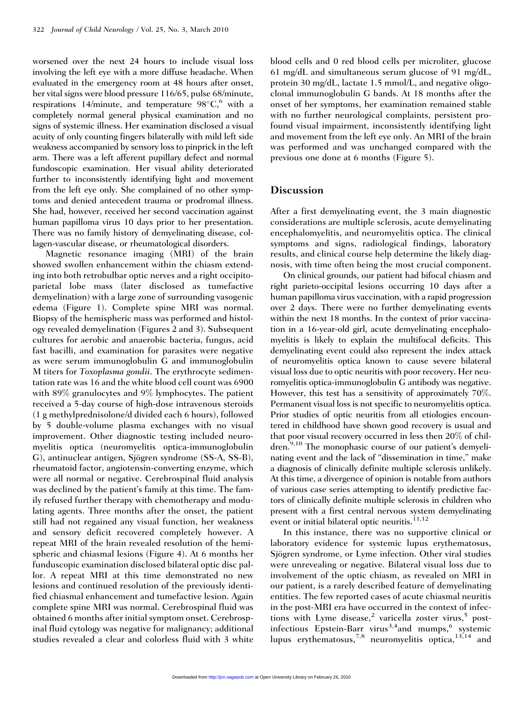worsened over the next 24 hours to include visual loss involving the left eye with a more diffuse headache. When evaluated in the emergency room at 48 hours after onset, her vital signs were blood pressure 116/65, pulse 68/minute, respirations 14/minute, and temperature 98°C, with a completely normal general physical examination and no signs of systemic illness. Her examination disclosed a visual acuity of only counting fingers bilaterally with mild left side weakness accompanied by sensory loss to pinprick in the left arm. There was a left afferent pupillary defect and normal fundoscopic examination. Her visual ability deteriorated further to inconsistently identifying light and movement from the left eye only. She complained of no other symptoms and denied antecedent trauma or prodromal illness. She had, however, received her second vaccination against human papilloma virus 10 days prior to her presentation. There was no family history of demyelinating disease, collagen-vascular disease, or rheumatological disorders.

Magnetic resonance imaging (MRI) of the brain showed swollen enhancement within the chiasm extending into both retrobulbar optic nerves and a right occipitoparietal lobe mass (later disclosed as tumefactive demyelination) with a large zone of surrounding vasogenic edema (Figure 1). Complete spine MRI was normal. Biopsy of the hemispheric mass was performed and histology revealed demyelination (Figures 2 and 3). Subsequent cultures for aerobic and anaerobic bacteria, fungus, acid fast bacilli, and examination for parasites were negative as were serum immunoglobulin G and immunoglobulin M titers for Toxoplasma gondii. The erythrocyte sedimentation rate was 16 and the white blood cell count was 6900 with 89% granulocytes and 9% lymphocytes. The patient received a 5-day course of high-dose intravenous steroids (1 g methylprednisolone/d divided each 6 hours), followed by 5 double-volume plasma exchanges with no visual improvement. Other diagnostic testing included neuromyelitis optica (neuromyelitis optica-immunoglobulin G), antinuclear antigen, Sjögren syndrome (SS-A, SS-B), rheumatoid factor, angiotensin-converting enzyme, which were all normal or negative. Cerebrospinal fluid analysis was declined by the patient's family at this time. The family refused further therapy with chemotherapy and modulating agents. Three months after the onset, the patient still had not regained any visual function, her weakness and sensory deficit recovered completely however. A repeat MRI of the brain revealed resolution of the hemispheric and chiasmal lesions (Figure 4). At 6 months her funduscopic examination disclosed bilateral optic disc pallor. A repeat MRI at this time demonstrated no new lesions and continued resolution of the previously identified chiasmal enhancement and tumefactive lesion. Again complete spine MRI was normal. Cerebrospinal fluid was obtained 6 months after initial symptom onset. Cerebrospinal fluid cytology was negative for malignancy; additional studies revealed a clear and colorless fluid with 3 white

blood cells and 0 red blood cells per microliter, glucose 61 mg/dL and simultaneous serum glucose of 91 mg/dL, protein 30 mg/dL, lactate 1.5 mmol/L, and negative oligoclonal immunoglobulin G bands. At 18 months after the onset of her symptoms, her examination remained stable with no further neurological complaints, persistent profound visual impairment, inconsistently identifying light and movement from the left eye only. An MRI of the brain was performed and was unchanged compared with the previous one done at 6 months (Figure 5).

#### Discussion

After a first demyelinating event, the 3 main diagnostic considerations are multiple sclerosis, acute demyelinating encephalomyelitis, and neuromyelitis optica. The clinical symptoms and signs, radiological findings, laboratory results, and clinical course help determine the likely diagnosis, with time often being the most crucial component.

On clinical grounds, our patient had bifocal chiasm and right parieto-occipital lesions occurring 10 days after a human papilloma virus vaccination, with a rapid progression over 2 days. There were no further demyelinating events within the next 18 months. In the context of prior vaccination in a 16-year-old girl, acute demyelinating encephalomyelitis is likely to explain the multifocal deficits. This demyelinating event could also represent the index attack of neuromyelitis optica known to cause severe bilateral visual loss due to optic neuritis with poor recovery. Her neuromyelitis optica-immunoglobulin G antibody was negative. However, this test has a sensitivity of approximately 70%. Permanent visual loss is not specific to neuromyelitis optica. Prior studies of optic neuritis from all etiologies encountered in childhood have shown good recovery is usual and that poor visual recovery occurred in less then 20% of children.<sup>9,10</sup> The monophasic course of our patient's demyelinating event and the lack of ''dissemination in time,'' make a diagnosis of clinically definite multiple sclerosis unlikely. At this time, a divergence of opinion is notable from authors of various case series attempting to identify predictive factors of clinically definite multiple sclerosis in children who present with a first central nervous system demyelinating event or initial bilateral optic neuritis.<sup>11,12</sup>

In this instance, there was no supportive clinical or laboratory evidence for systemic lupus erythematosus, Sjögren syndrome, or Lyme infection. Other viral studies were unrevealing or negative. Bilateral visual loss due to involvement of the optic chiasm, as revealed on MRI in our patient, is a rarely described feature of demyelinating entities. The few reported cases of acute chiasmal neuritis in the post-MRI era have occurred in the context of infections with Lyme disease,<sup>2</sup> varicella zoster virus,<sup>5</sup> postinfectious Epstein-Barr virus<sup>3,4</sup>and mumps,<sup>6</sup> systemic lupus erythematosus,<sup>7,8</sup> neuromyelitis optica, $13,14$  and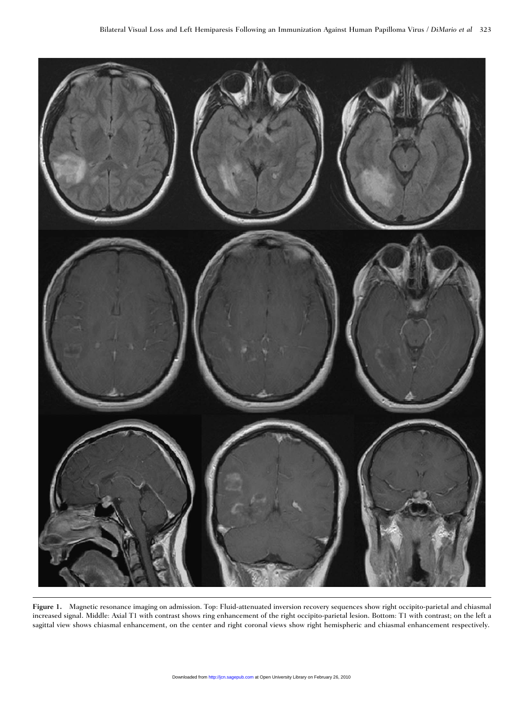

Figure 1. Magnetic resonance imaging on admission. Top: Fluid-attenuated inversion recovery sequences show right occipito-parietal and chiasmal increased signal. Middle: Axial T1 with contrast shows ring enhancement of the right occipito-parietal lesion. Bottom: T1 with contrast; on the left a sagittal view shows chiasmal enhancement, on the center and right coronal views show right hemispheric and chiasmal enhancement respectively.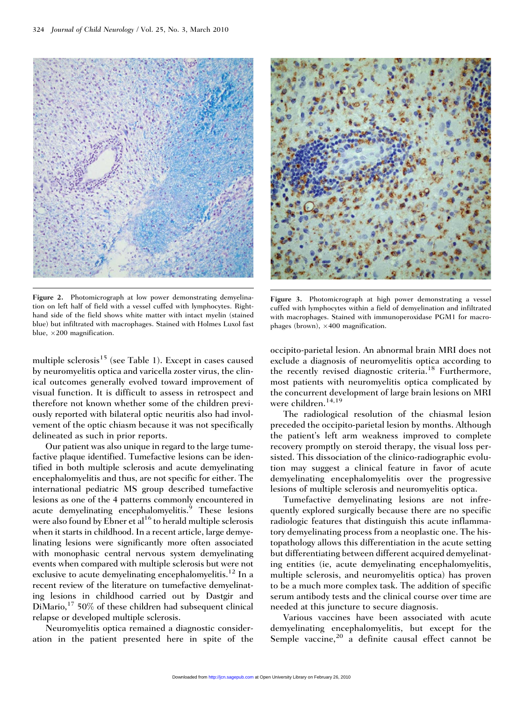

Figure 2. Photomicrograph at low power demonstrating demyelination on left half of field with a vessel cuffed with lymphocytes. Righthand side of the field shows white matter with intact myelin (stained blue) but infiltrated with macrophages. Stained with Holmes Luxol fast blue,  $\times 200$  magnification.

multiple sclerosis<sup>15</sup> (see Table 1). Except in cases caused by neuromyelitis optica and varicella zoster virus, the clinical outcomes generally evolved toward improvement of visual function. It is difficult to assess in retrospect and therefore not known whether some of the children previously reported with bilateral optic neuritis also had involvement of the optic chiasm because it was not specifically delineated as such in prior reports.

Our patient was also unique in regard to the large tumefactive plaque identified. Tumefactive lesions can be identified in both multiple sclerosis and acute demyelinating encephalomyelitis and thus, are not specific for either. The international pediatric MS group described tumefactive lesions as one of the 4 patterns commonly encountered in acute demyelinating encephalomyelitis.<sup>9</sup> These lesions were also found by Ebner et  $al<sup>16</sup>$  to herald multiple sclerosis when it starts in childhood. In a recent article, large demyelinating lesions were significantly more often associated with monophasic central nervous system demyelinating events when compared with multiple sclerosis but were not exclusive to acute demyelinating encephalomyelitis.<sup>12</sup> In a recent review of the literature on tumefactive demyelinating lesions in childhood carried out by Dastgir and  $DiMario, <sup>17</sup> 50%$  of these children had subsequent clinical relapse or developed multiple sclerosis.

Neuromyelitis optica remained a diagnostic consideration in the patient presented here in spite of the



Figure 3. Photomicrograph at high power demonstrating a vessel cuffed with lymphocytes within a field of demyelination and infiltrated with macrophages. Stained with immunoperoxidase PGM1 for macrophages (brown),  $\times$  400 magnification.

occipito-parietal lesion. An abnormal brain MRI does not exclude a diagnosis of neuromyelitis optica according to the recently revised diagnostic criteria.<sup>18</sup> Furthermore, most patients with neuromyelitis optica complicated by the concurrent development of large brain lesions on MRI were children.<sup>14,19</sup>

The radiological resolution of the chiasmal lesion preceded the occipito-parietal lesion by months. Although the patient's left arm weakness improved to complete recovery promptly on steroid therapy, the visual loss persisted. This dissociation of the clinico-radiographic evolution may suggest a clinical feature in favor of acute demyelinating encephalomyelitis over the progressive lesions of multiple sclerosis and neuromyelitis optica.

Tumefactive demyelinating lesions are not infrequently explored surgically because there are no specific radiologic features that distinguish this acute inflammatory demyelinating process from a neoplastic one. The histopathology allows this differentiation in the acute setting but differentiating between different acquired demyelinating entities (ie, acute demyelinating encephalomyelitis, multiple sclerosis, and neuromyelitis optica) has proven to be a much more complex task. The addition of specific serum antibody tests and the clinical course over time are needed at this juncture to secure diagnosis.

Various vaccines have been associated with acute demyelinating encephalomyelitis, but except for the Semple vaccine,  $20$  a definite causal effect cannot be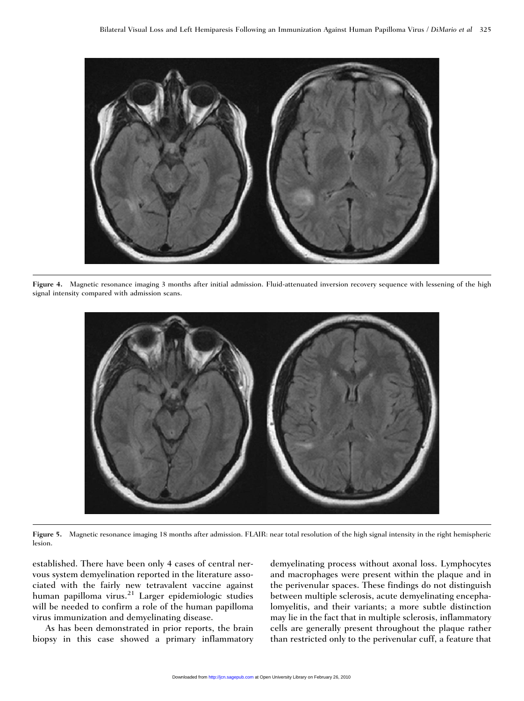

Figure 4. Magnetic resonance imaging 3 months after initial admission. Fluid-attenuated inversion recovery sequence with lessening of the high signal intensity compared with admission scans.



Figure 5. Magnetic resonance imaging 18 months after admission. FLAIR: near total resolution of the high signal intensity in the right hemispheric lesion.

established. There have been only 4 cases of central nervous system demyelination reported in the literature associated with the fairly new tetravalent vaccine against human papilloma virus.<sup>21</sup> Larger epidemiologic studies will be needed to confirm a role of the human papilloma virus immunization and demyelinating disease.

As has been demonstrated in prior reports, the brain biopsy in this case showed a primary inflammatory demyelinating process without axonal loss. Lymphocytes and macrophages were present within the plaque and in the perivenular spaces. These findings do not distinguish between multiple sclerosis, acute demyelinating encephalomyelitis, and their variants; a more subtle distinction may lie in the fact that in multiple sclerosis, inflammatory cells are generally present throughout the plaque rather than restricted only to the perivenular cuff, a feature that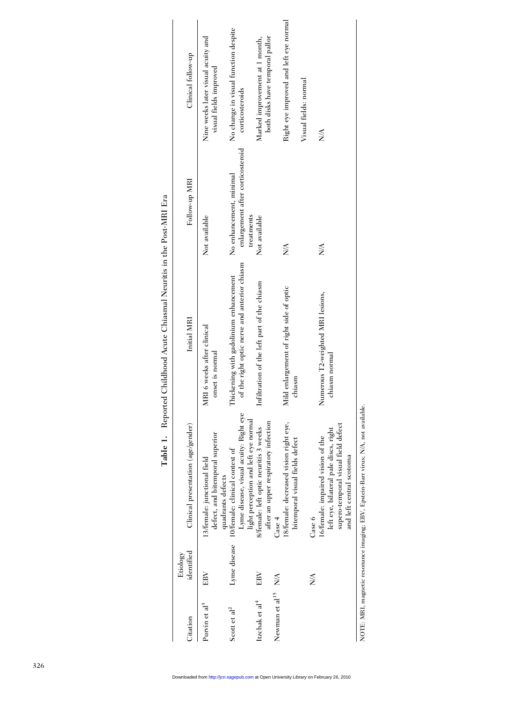| Citation                       | identified<br>Etiology | Clinical presentation (age/gender)                                                                                                            | Initial MRI                                                                            | Follow-up MRI                                               | Clinical follow-up                                                |
|--------------------------------|------------------------|-----------------------------------------------------------------------------------------------------------------------------------------------|----------------------------------------------------------------------------------------|-------------------------------------------------------------|-------------------------------------------------------------------|
| Purvin et al <sup>3</sup>      | EBV                    | defect, and bitemporal superior<br>13/female: junctional field<br>quadrants defects                                                           | MRI 6 weeks after clinical<br>onset is normal                                          | Not available                                               | Nine weeks later visual acuity and<br>visual fields improved      |
| Scott et al <sup>2</sup>       | Lyme disease           | Lyme disease, visual acuity: Right eye<br>10/female: clinical context of                                                                      | of the right optic nerve and anterior chiasm<br>Thickening with gadolinium enhancement | enlargement after corticosteroid<br>No enhancement, minimal | No change in visual function despite<br>corticosteroids           |
| Itzchak et al <sup>4</sup>     | EBV                    | light perception and left eye normal<br>after an upper respiratory infection<br>8/female: left optic neuritis 3 weeks                         | Infiltration of the left part of the chiasm                                            | treatments<br>Not available                                 | both disks have temporal pallor<br>Marked improvement at 1 month, |
| Newman et al <sup>15</sup> N/A |                        | Case 4                                                                                                                                        |                                                                                        |                                                             |                                                                   |
|                                |                        | 18/female: decreased vision right eye,<br>bitemporal visual fields defect                                                                     | Mild enlargement of right side of optic<br>chiasm                                      | $\frac{1}{2}$                                               | Right eye improved and left eye normal                            |
|                                | ≸                      | Case 6                                                                                                                                        |                                                                                        |                                                             | Visual fields: normal                                             |
|                                |                        | supero-temporal visual field defect<br>left eye, bilateral pale discs, right<br>16/female: impaired vision of the<br>and left central scotoma | Numerous T2-weighted MRI lesions,<br>chiasm normal                                     | N/A                                                         | $\frac{1}{2}$                                                     |

Table 1. Reported Childhood Acute Chiasmal Neuritis in the Post-MRI Era Table 1. Reported Childhood Acute Chiasmal Neuritis in the Post-MRI Era

NOTE: MRI, magnetic resonance imaging; EBV, Epstein-Barr virus; N/A, not available. NOTE: MRI, magnetic resonance imaging; EBV, Epstein-Barr virus; N/A, not available.